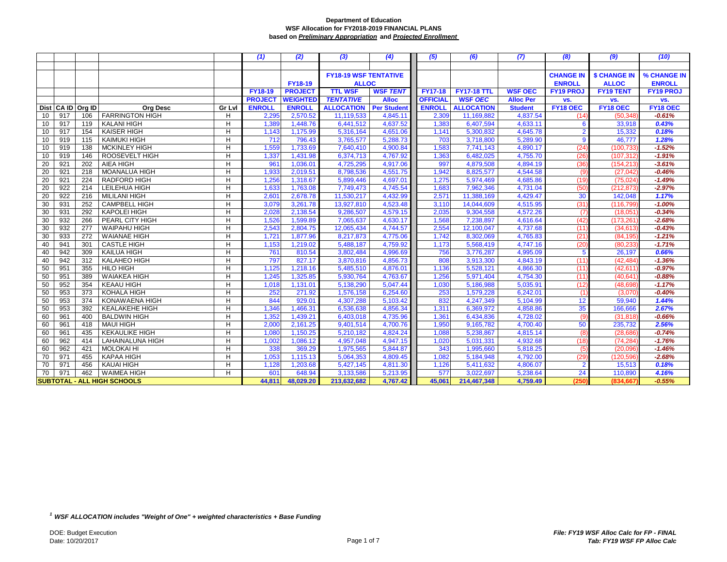|    |     |                   |                                    |        | (1)            | (2)             | (3)                           | (4)             | (5)             | (6)                | (7)              | (8)              | (9)                  | (10)             |
|----|-----|-------------------|------------------------------------|--------|----------------|-----------------|-------------------------------|-----------------|-----------------|--------------------|------------------|------------------|----------------------|------------------|
|    |     |                   |                                    |        |                |                 |                               |                 |                 |                    |                  |                  |                      |                  |
|    |     |                   |                                    |        |                |                 | <b>FY18-19 WSF TENTATIVE</b>  |                 |                 |                    |                  | <b>CHANGE IN</b> | <b>\$ CHANGE IN</b>  | % CHANGE IN      |
|    |     |                   |                                    |        |                | <b>FY18-19</b>  | <b>ALLOC</b>                  |                 |                 |                    |                  | <b>ENROLL</b>    | <b>ALLOC</b>         | <b>ENROLL</b>    |
|    |     |                   |                                    |        | FY18-19        | <b>PROJECT</b>  | <b>TTL WSF</b>                | <b>WSF TENT</b> | <b>FY17-18</b>  | <b>FY17-18 TTL</b> | <b>WSF OEC</b>   | <b>FY19 PROJ</b> | <b>FY19 TENT</b>     | <b>FY19 PROJ</b> |
|    |     |                   |                                    |        | <b>PROJECT</b> | <b>WEIGHTED</b> | <b>TENTATIVE</b>              | <b>Alloc</b>    | <b>OFFICIAL</b> | <b>WSF OEC</b>     | <b>Alloc Per</b> | VS.              | VS.                  | VS.              |
|    |     | Dist CA ID Org ID | <b>Org Desc</b>                    | Gr Lvl | <b>ENROLL</b>  | <b>ENROLL</b>   | <b>ALLOCATION</b> Per Student |                 | <b>ENROLL</b>   | <b>ALLOCATION</b>  | <b>Student</b>   | FY18 OEC         | FY <sub>18</sub> OEC | FY18 OEC         |
| 10 | 917 | 106               | <b>FARRINGTON HIGH</b>             | н      | 2,295          | 2,570.52        | 11,119,533                    | 4,845.11        | 2,309           | 11,169,882         | 4,837.54         | (14)             | (50, 348)            | $-0.61%$         |
| 10 | 917 | 119               | <b>KALANI HIGH</b>                 | H      | 1,389          | 1,448.76        | 6,441,512                     | 4,637.52        | 1,383           | 6,407,594          | 4,633.11         | 6                | 33,918               | 0.43%            |
| 10 | 917 | 154               | <b>KAISER HIGH</b>                 | H      | 1,143          | 1,175.99        | 5,316,164                     | 4,651.06        | 1,141           | 5,300,832          | 4,645.78         | $\overline{2}$   | 15,332               | 0.18%            |
| 10 | 919 | 115               | <b>KAIMUKI HIGH</b>                | H      | 712            | 796.43          | 3,765,577                     | 5,288.73        | 703             | 3,718,800          | 5,289.90         | $\overline{9}$   | 46,777               | 1.28%            |
| 10 | 919 | 138               | <b>MCKINLEY HIGH</b>               | H      | 1,559          | 1,733.69        | 7,640,410                     | 4,900.84        | 1,583           | 7,741,143          | 4,890.17         | (24)             | (100, 733)           | $-1.52%$         |
| 10 | 919 | 146               | ROOSEVELT HIGH                     | H      | 1,337          | 1,431.98        | 6,374,713                     | 4,767.92        | 1,363           | 6,482,025          | 4,755.70         | (26)             | (107, 312)           | $-1.91%$         |
| 20 | 921 | 202               | AIEA HIGH                          | H      | 961            | 1,036.01        | 4,725,295                     | 4,917.06        | 997             | 4,879,508          | 4,894.19         | (36)             | (154, 213)           | $-3.61%$         |
| 20 | 921 | 218               | MOANALUA HIGH                      | H      | 1,933          | 2,019.51        | 8,798,536                     | 4,551.75        | 1,942           | 8,825,577          | 4,544.58         | (9)              | (27, 042)            | $-0.46%$         |
| 20 | 921 | 224               | <b>RADFORD HIGH</b>                | H      | 1,256          | 1,318.67        | 5,899,446                     | 4,697.01        | 1,275           | 5,974,469          | 4,685.86         | (19)             | (75, 024)            | $-1.49%$         |
| 20 | 922 | 214               | LEILEHUA HIGH                      | H      | 1,633          | 1,763.08        | 7,749,473                     | 4,745.54        | 1,683           | 7,962,346          | 4,731.04         | (50)             | (212, 873)           | $-2.97%$         |
| 20 | 922 | 216               | <b>MILILANI HIGH</b>               | H      | 2,60'          | 2,678.78        | 11,530,217                    | 4,432.99        | 2,571           | 11,388,169         | 4,429.47         | 30               | 142,048              | 1.17%            |
| 30 | 931 | 252               | CAMPBELL HIGH                      | н      | 3,079          | 3,261.78        | 13,927,810                    | 4,523.48        | 3,110           | 14,044,609         | 4,515.95         | (31)             | (116, 799)           | $-1.00%$         |
| 30 | 931 | 292               | <b>KAPOLEI HIGH</b>                | H      | 2,028          | 2,138.54        | 9,286,507                     | 4,579.15        | 2,035           | 9,304,558          | 4,572.26         | (7)              | (18,051)             | $-0.34%$         |
| 30 | 932 | 266               | PEARL CITY HIGH                    | H      | 1,526          | 1,599.89        | 7,065,637                     | 4,630.17        | 1,568           | 7,238,897          | 4,616.64         | (42)             | (173, 261)           | $-2.68%$         |
| 30 | 932 | 277               | <b>WAIPAHU HIGH</b>                | н      | 2,543          | 2,804.75        | 12,065,434                    | 4,744.57        | 2,554           | 12,100,047         | 4,737.68         | (11)             | (34, 613)            | $-0.43%$         |
| 30 | 933 | 272               | <b>WAIANAE HIGH</b>                | н      | 1,721          | 1,877.96        | 8,217,873                     | 4,775.06        | 1,742           | 8,302,069          | 4,765.83         | (21)             | (84, 195)            | $-1.21%$         |
| 40 | 941 | 301               | <b>CASTLE HIGH</b>                 | H      | 1,153          | 1,219.02        | 5,488,187                     | 4,759.92        | 1,173           | 5,568,419          | 4,747.16         | (20)             | (80, 233)            | $-1.71%$         |
| 40 | 942 | 309               | <b>KAILUA HIGH</b>                 | H      | 761            | 810.54          | 3,802,484                     | 4,996.69        | 756             | 3,776,287          | 4,995.09         | $5\phantom{.0}$  | 26,197               | 0.66%            |
| 40 | 942 | 312               | <b>KALAHEO HIGH</b>                | H      | 797            | 827.17          | 3,870,816                     | 4,856.73        | 808             | 3,913,300          | 4,843.19         | (11)             | (42, 484)            | $-1.36%$         |
| 50 | 951 | 355               | <b>HILO HIGH</b>                   | H      | 1,125          | 1,218.16        | 5,485,510                     | 4,876.01        | 1,136           | 5,528,121          | 4,866.30         | (11)             | (42, 61)             | $-0.97%$         |
| 50 | 951 | 389               | <b>WAIAKEA HIGH</b>                | н      | 1,245          | 1,325.85        | 5,930,764                     | 4,763.67        | 1,256           | 5,971,404          | 4,754.30         | (11)             | (40, 64)             | $-0.88%$         |
| 50 | 952 | 354               | <b>KEAAU HIGH</b>                  | H      | 1,018          | 1,131.01        | 5,138,290                     | 5,047.44        | 1,030           | 5,186,988          | 5,035.91         | (12)             | (48, 698)            | $-1.17%$         |
| 50 | 953 | 373               | KOHALA HIGH                        | H      | 252            | 271.92          | 1,576,158                     | 6,254.60        | 253             | 1,579,228          | 6,242.01         | (1)              | (3,070)              | $-0.40%$         |
| 50 | 953 | 374               | KONAWAENA HIGH                     | н      | 844            | 929.01          | 4,307,288                     | 5,103.42        | 832             | 4,247,349          | 5,104.99         | 12               | 59,940               | 1.44%            |
| 50 | 953 | 392               | <b>KEALAKEHE HIGH</b>              | H      | 1,346          | 1,466.31        | 6,536,638                     | 4,856.34        | 1,311           | 6,369,972          | 4,858.86         | 35               | 166,666              | 2.67%            |
| 60 | 961 | 400               | <b>BALDWIN HIGH</b>                | H      | 1,352          | 1,439.21        | 6,403,018                     | 4,735.96        | 1,361           | 6,434,836          | 4,728.02         | (9)              | (31, 818)            | $-0.66%$         |
| 60 | 961 | 418               | <b>MAUI HIGH</b>                   | н      | 2,000          | 2,161.25        | 9,401,514                     | 4,700.76        | 1,950           | 9,165,782          | 4,700.40         | 50               | 235,732              | 2.56%            |
| 60 | 961 | 435               | <b>KEKAULIKE HIGH</b>              | H      | 1,080          | 1,150.25        | 5,210,182                     | 4,824.24        | 1,088           | 5,238,867          | 4,815.14         | (8)              | (28, 686)            | $-0.74%$         |
| 60 | 962 | 414               | LAHAINALUNA HIGH                   | H      | 1,002          | 1,086.12        | 4,957,048                     | 4,947.15        | 1,020           | 5,031,331          | 4,932.68         | (18)             | (74, 284)            | $-1.76%$         |
| 60 | 962 | 421               | <b>MOLOKAI HI</b>                  | H      | 338            | 369.29          | 1,975,565                     | 5,844.87        | 343             | 1,995,660          | 5,818.25         | (5)              | (20,096)             | $-1.46%$         |
| 70 | 971 | 455               | <b>KAPAA HIGH</b>                  | H      | 1,053          | 1,115.13        | 5,064,353                     | 4,809.45        | 1,082           | 5,184,948          | 4,792.00         | (29)             | (120, 596)           | $-2.68%$         |
| 70 | 971 | 456               | <b>KAUAI HIGH</b>                  | H      | 1,128          | 1,203.68        | 5,427,145                     | 4,811.30        | 1,126           | 5,411,632          | 4,806.07         | $\overline{2}$   | 15,513               | 0.18%            |
| 70 | 971 | 462               | <b>WAIMEA HIGH</b>                 | H      | 601            | 648.94          | 3,133,586                     | 5,213.95        | 577             | 3,022,697          | 5,238.64         | 24               | 110,890              | 4.16%            |
|    |     |                   | <b>SUBTOTAL - ALL HIGH SCHOOLS</b> |        | 44,811         | 48,029.20       | 213,632,682                   | 4,767.42        | 45,061          | 214,467,348        | 4,759.49         | (250             | (834,667             | $-0.55%$         |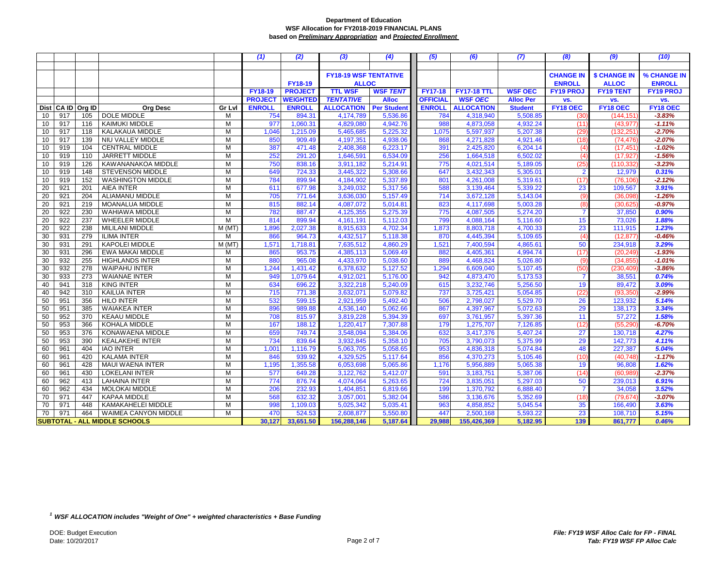|    |                      |                                      |        | (1)            | (2)             | (3)               | (4)                          | (5)             | (6)                | (7)              | (8)              | (9)                 | (10)             |
|----|----------------------|--------------------------------------|--------|----------------|-----------------|-------------------|------------------------------|-----------------|--------------------|------------------|------------------|---------------------|------------------|
|    |                      |                                      |        |                |                 |                   |                              |                 |                    |                  |                  |                     |                  |
|    |                      |                                      |        |                |                 |                   | <b>FY18-19 WSF TENTATIVE</b> |                 |                    |                  | <b>CHANGE IN</b> | <b>\$ CHANGE IN</b> | % CHANGE IN      |
|    |                      |                                      |        |                | <b>FY18-19</b>  | <b>ALLOC</b>      |                              |                 |                    |                  | <b>ENROLL</b>    | <b>ALLOC</b>        | <b>ENROLL</b>    |
|    |                      |                                      |        | <b>FY18-19</b> | <b>PROJECT</b>  | <b>TTL WSF</b>    | <b>WSF TENT</b>              | <b>FY17-18</b>  | <b>FY17-18 TTL</b> | <b>WSF OEC</b>   | <b>FY19 PROJ</b> | <b>FY19 TENT</b>    | <b>FY19 PROJ</b> |
|    |                      |                                      |        | <b>PROJECT</b> | <b>WEIGHTED</b> | <b>TENTATIVE</b>  | <b>Alloc</b>                 | <b>OFFICIAL</b> | <b>WSF OEC</b>     | <b>Alloc Per</b> | VS.              | VS.                 | vs.              |
|    | Dist CA ID<br>Org ID | <b>Ora Desc</b>                      | Gr Lvl | <b>ENROLL</b>  | <b>ENROLL</b>   | <b>ALLOCATION</b> | <b>Per Student</b>           | <b>ENROLL</b>   | <b>ALLOCATION</b>  | <b>Student</b>   | FY18 OEC         | FY18 OEC            | FY18 OEC         |
| 10 | 917<br>105           | <b>DOLE MIDDLE</b>                   | м      | 754            | 894.31          | 4,174,789         | 5,536.86                     | 784             | 4,318,940          | 5,508.85         | (30)             | (144,151            | $-3.83%$         |
| 10 | 917<br>116           | KAIMUKI MIDDLE                       | M      | 977            | 1,060.31        | 4,829,080         | 4,942.76                     | 988             | 4,873,058          | 4,932.24         | (11)             | (43, 977)           | $-1.11%$         |
| 10 | 118<br>917           | KALAKAUA MIDDLE                      | M      | 1,046          | 1,215.09        | 5,465,685         | 5,225.32                     | 1,075           | 5,597,937          | 5,207.38         | (29)             | (132, 251)          | $-2.70%$         |
| 10 | 917<br>139           | NIU VALLEY MIDDLE                    | M      | 850            | 909.49          | 4,197,351         | 4.938.06                     | 868             | 4,271,828          | 4,921.46         | (18)             | (74, 476)           | $-2.07%$         |
| 10 | 919<br>104           | <b>CENTRAL MIDDLE</b>                | M      | 387            | 471.48          | 2,408,368         | 6,223.17                     | 391             | 2,425,820          | 6,204.14         | (4)              | (17, 451)           | $-1.02%$         |
| 10 | 919<br>110           | JARRETT MIDDLE                       | M      | 252            | 291.20          | 1,646,591         | 6,534.09                     | 256             | 1,664,518          | 6,502.02         | (4)              | (17.927             | $-1.56%$         |
| 10 | 919<br>126           | KAWANANAKOA MIDDLE                   | М      | 750            | 838.16          | 3,911,182         | 5,214.91                     | 775             | 4,021,514          | 5,189.05         | (25)             | (110, 332)          | $-3.23%$         |
| 10 | 148<br>919           | <b>STEVENSON MIDDLE</b>              | M      | 649            | 724.33          | 3,445,322         | 5,308.66                     | 647             | 3,432,343          | 5,305.01         | $\overline{2}$   | 12,979              | 0.31%            |
| 10 | 919<br>152           | <b>WASHINGTON MIDDLE</b>             | M      | 784            | 899.94          | 4,184,902         | 5,337.89                     | 801             | 4,261,008          | 5,319.61         | (17)             | (76, 106)           | $-2.12%$         |
| 20 | 921<br>201           | AIEA INTER                           | M      | 611            | 677.98          | 3,249,032         | 5,317.56                     | 588             | 3,139,464          | 5,339.22         | 23               | 109,567             | 3.91%            |
| 20 | 921<br>204           | ALIAMANU MIDDLE                      | M      | 705            | 771.64          | 3,636,030         | 5,157.49                     | 714             | 3,672,128          | 5,143.04         | (9)              | (36,098)            | $-1.26%$         |
| 20 | 921<br>219           | <b>MOANALUA MIDDLE</b>               | M      | 815            | 882.14          | 4,087,072         | 5,014.81                     | 823             | 4,117,698          | 5,003.28         | (8)              | (30, 625)           | $-0.97%$         |
| 20 | 230<br>922           | WAHIAWA MIDDLE                       | M      | 782            | 887.47          | 4,125,355         | 5,275.39                     | 775             | 4,087,505          | 5,274.20         | $\overline{7}$   | 37,850              | 0.90%            |
| 20 | 922<br>237           | <b>WHEELER MIDDLE</b>                | M      | 814            | 899.94          | 4,161,191         | 5,112.03                     | 799             | 4,088,164          | 5,116.60         | 15               | 73,026              | 1.88%            |
| 20 | 922<br>238           | <b>MILILANI MIDDLE</b>               | M(MT)  | 1,896          | 2,027.38        | 8,915,633         | 4,702.34                     | 1,873           | 8,803,718          | 4.700.33         | 23               | 111,915             | 1.23%            |
| 30 | 931<br>279           | <b>ILIMA INTER</b>                   | м      | 866            | 964.73          | 4,432,517         | 5,118.38                     | 870             | 4,445,394          | 5,109.65         | (4)              | (12, 877)           | $-0.46%$         |
| 30 | 931<br>291           | <b>KAPOLEI MIDDLE</b>                | M (MT  | 1,571          | 1,718.81        | 7,635,512         | 4,860.29                     | 1,521           | 7,400,594          | 4,865.61         | 50               | 234,918             | 3.29%            |
| 30 | 931<br>296           | EWA MAKAI MIDDLE                     | м      | 865            | 953.75          | 4,385,113         | 5,069.49                     | 882             | 4,405,361          | 4,994.74         | (17)             | (20, 249)           | $-1.93%$         |
| 30 | 932<br>255           | <b>HIGHLANDS INTER</b>               | M      | 880            | 965.08          | 4,433,970         | 5,038.60                     | 889             | 4,468,824          | 5,026.80         | (9)              | (34, 855)           | $-1.01%$         |
| 30 | 932<br>278           | <b>WAIPAHU INTER</b>                 | M      | 1,244          | 1,431.42        | 6,378,632         | 5,127.52                     | 1,294           | 6,609,040          | 5,107.45         | (50)             | (230, 409)          | $-3.86%$         |
| 30 | 933<br>273           | <b>WAIANAE INTER</b>                 | M      | 949            | 1,079.64        | 4,912,021         | 5,176.00                     | 942             | 4,873,470          | 5,173.53         |                  | 38,551              | 0.74%            |
| 40 | 941<br>318           | <b>KING INTER</b>                    | M      | 634            | 696.22          | 3,322,218         | 5,240.09                     | 615             | 3,232,746          | 5,256.50         | 19               | 89,472              | 3.09%            |
| 40 | 942<br>310           | KAILUA INTER                         | M      | 715            | 771.38          | 3,632,071         | 5,079.82                     | 737             | 3,725,421          | 5,054.85         | (22)             | (93, 350)           | $-2.99%$         |
| 50 | 951<br>356           | <b>HILO INTER</b>                    | M      | 532            | 599.15          | 2,921,959         | 5,492.40                     | 506             | 2,798,027          | 5,529.70         | 26               | 123,932             | 5.14%            |
| 50 | 951<br>385           | <b>WAIAKEA INTER</b>                 | M      | 896            | 989.88          | 4,536,140         | 5,062.66                     | 867             | 4,397,967          | 5,072.63         | 29               | 138,173             | 3.34%            |
| 50 | 952<br>370           | <b>KEAAU MIDDLE</b>                  | M      | 708            | 815.97          | 3,819,228         | 5,394.39                     | 697             | 3,761,957          | 5,397.36         | 11               | 57,272              | 1.58%            |
| 50 | 953<br>366           | KOHALA MIDDLE                        | M      | 167            | 188.12          | 1,220,417         | 7.307.88                     | 179             | 1,275,707          | 7,126.85         | (12)             | (55, 290)           | $-6.70%$         |
| 50 | 953<br>376           | KONAWAENA MIDDLE                     | M      | 659            | 749.74          | 3,548,094         | 5,384.06                     | 632             | 3,417,376          | 5,407.24         | 27               | 130,718             | 4.27%            |
| 50 | 953<br>390           | <b>KEALAKEHE INTER</b>               | M      | 734            | 839.64          | 3,932,845         | 5,358.10                     | 705             | 3,790,073          | 5,375.99         | 29               | 142,773             | 4.11%            |
| 60 | 961<br>404           | <b>IAO INTER</b>                     | M      | 1,001          | 1.116.79        | 5,063,705         | 5,058.65                     | 953             | 4,836,318          | 5,074.84         | 48               | 227,387             | 5.04%            |
| 60 | 961<br>420           | <b>KALAMA INTER</b>                  | M      | 846            | 939.92          | 4,329,525         | 5,117.64                     | 856             | 4,370,273          | 5,105.46         | (10)             | (40, 748)           | $-1.17%$         |
| 60 | 961<br>428           | <b>MAUI WAENA INTER</b>              | M      | 1,195          | 1,355.58        | 6,053,698         | 5,065.86                     | 1,176           | 5,956,889          | 5,065.38         | 19               | 96,808              | 1.62%            |
| 60 | 961<br>430           | <b>LOKELANI INTER</b>                | M      | 577            | 649.28          | 3,122,762         | 5,412.07                     | 591             | 3,183,751          | 5,387.06         | (14)             | (60, 989)           | $-2.37%$         |
| 60 | 962<br>413           | <b>LAHAINA INTER</b>                 | M      | 774            | 876.74          | 4,074,064         | 5,263.65                     | 724             | 3,835,051          | 5,297.03         | 50               | 239,013             | 6.91%            |
| 60 | 962<br>434           | MOLOKAI MIDDLE                       | M      | 206            | 232.93          | 1,404,851         | 6,819.66                     | 199             | 1,370,792          | 6,888.40         |                  | 34,058              | 3.52%            |
| 70 | 971<br>447           | <b>KAPAA MIDDLE</b>                  | M      | 568            | 632.32          | 3,057,001         | 5,382.04                     | 586             | 3,136,676          | 5,352.69         | (18)             | (79, 674)           | $-3.07%$         |
| 70 | 971<br>448           | KAMAKAHELEI MIDDLE                   | M      | 998            | 1,109.03        | 5,025,342         | 5,035.41                     | 963             | 4,858,852          | 5,045.54         | 35               | 166,490             | 3.63%            |
| 70 | 971<br>464           | WAIMEA CANYON MIDDLE                 | M      | 470            | 524.53          | 2,608,877         | 5,550.80                     | 447             | 2,500,168          | 5,593.22         | 23               | 108,710             | 5.15%            |
|    |                      | <b>SUBTOTAL - ALL MIDDLE SCHOOLS</b> |        | 30.127         | 33,651.50       | 156,288,146       | 5,187.64                     | 29,988          | 155,426,369        | 5,182.95         | 139              | 861,777             | 0.46%            |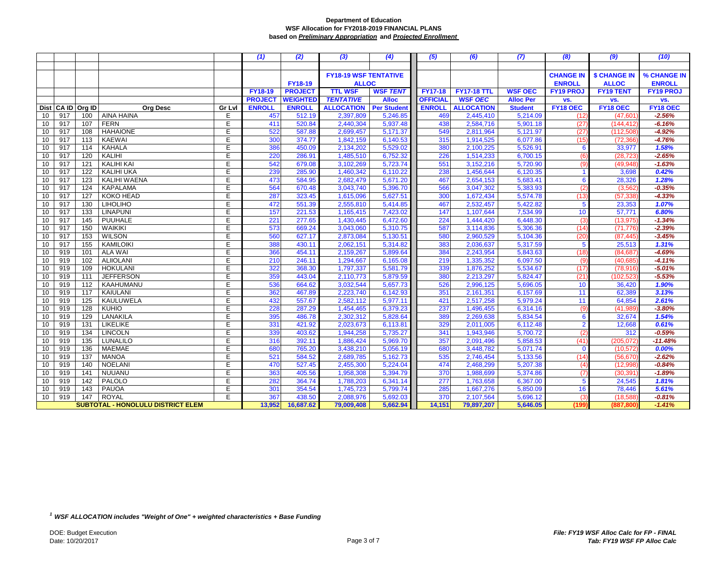|          |            |                  |                                          |                | (1)            | (2)              | (3)                          | (4)                  | (5)             | (6)                    | (7)                  | (8)                  | (9)                 | (10)              |
|----------|------------|------------------|------------------------------------------|----------------|----------------|------------------|------------------------------|----------------------|-----------------|------------------------|----------------------|----------------------|---------------------|-------------------|
|          |            |                  |                                          |                |                |                  |                              |                      |                 |                        |                      |                      |                     |                   |
|          |            |                  |                                          |                |                |                  | <b>FY18-19 WSF TENTATIVE</b> |                      |                 |                        |                      | <b>CHANGE IN</b>     | <b>\$ CHANGE IN</b> | % CHANGE IN       |
|          |            |                  |                                          |                |                | <b>FY18-19</b>   | <b>ALLOC</b>                 |                      |                 |                        |                      | <b>ENROLL</b>        | <b>ALLOC</b>        | <b>ENROLL</b>     |
|          |            |                  |                                          |                | FY18-19        | <b>PROJECT</b>   | <b>TTL WSF</b>               | <b>WSF TENT</b>      | <b>FY17-18</b>  | <b>FY17-18 TTL</b>     | <b>WSF OEC</b>       | <b>FY19 PROJ</b>     | <b>FY19 TENT</b>    | <b>FY19 PROJ</b>  |
|          |            |                  |                                          |                | <b>PROJECT</b> | <b>WEIGHTED</b>  | <b>TENTATIVE</b>             | <b>Alloc</b>         | <b>OFFICIAL</b> | <b>WSF OEC</b>         | <b>Alloc Per</b>     | VS.                  | VS.                 | VS.               |
|          | Dist CA ID | Org ID           | <b>Org Desc</b>                          | Gr Lvl         | <b>ENROLL</b>  | <b>ENROLL</b>    | <b>ALLOCATION</b>            | <b>Per Student</b>   | <b>ENROLL</b>   | <b>ALLOCATION</b>      | <b>Student</b>       | FY18 OEC             | FY18 OEC            | FY18 OEC          |
| 10       | 917        | 100              | <b>AINA HAINA</b>                        | E              | 457            | 512.19           | 2,397,809                    | 5,246.85             | 469             | 2,445,410              | 5,214.09             | (12)                 | (47, 60)            | $-2.56%$          |
| 10       | 917        | 107              | <b>FERN</b>                              | Ε              | 411            | 520.84           | 2,440,304                    | 5,937.48             | 438             | 2,584,716              | 5,901.18             | (27)                 | (144, 412)          | $-6.16%$          |
| 10       | 917        | 108              | <b>HAHAIONE</b>                          | E              | 522            | 587.88           | 2,699,457                    | 5,171.37             | 549             | 2,811,964              | 5,121.97             | (27)                 | (112, 508)          | $-4.92%$          |
| 10       | 917        | 113              | <b>KAEWAI</b>                            | E              | 300            | 374.77           | 1,842,159                    | 6,140.53             | 315             | 1,914,525              | 6,077.86             | (15)                 | (72, 366)           | $-4.76%$          |
| 10       | 917        | 114              | <b>KAHALA</b>                            | E              | 386            | 450.09           | 2,134,202                    | 5,529.02             | 380             | 2,100,225              | 5,526.91             | 6                    | 33,977              | 1.58%             |
| 10       | 917        | 120              | KALIHI                                   | $\overline{E}$ | 220            | 286.91           | 1,485,510                    | 6,752.32             | 226             | 1,514,233              | 6,700.15             | (6)                  | (28, 723)           | $-2.65%$          |
| 10       | 917        | 121              | <b>KALIHI KAI</b>                        | E              | 542            | 679.08           | 3,102,269                    | 5,723.74             | 551             | 3,152,216              | 5,720.90             | (9)                  | (49, 948)           | $-1.63%$          |
| 10       | 917        | 122              | <b>KALIHI UKA</b>                        | E              | 239            | 285.90           | 1,460,342                    | 6,110.22             | 238             | 1,456,644              | 6,120.35             | $\blacktriangleleft$ | 3,698               | 0.42%             |
| 10       | 917        | 123              | KALIHI WAENA                             | E              | 473            | 584.95           | 2,682,479                    | 5,671.20             | 467             | 2,654,153              | 5,683.41             | 6                    | 28,326              | 1.28%             |
| 10       | 917        | 124              | <b>KAPALAMA</b>                          | E              | 564            | 670.48           | 3,043,740                    | 5,396.70             | 566             | 3,047,302              | 5,383.93             | (2)                  | (3, 562)            | $-0.35%$          |
| 10       | 917        | 127              | KOKO HEAD                                | E              | 287            | 323.45           | 1,615,096                    | 5,627.51             | 300             | 1,672,434              | 5,574.78             | (13)                 | (57, 338)           | $-4.33%$          |
| 10       | 917        | 130              | <b>LIHOLIHO</b>                          | E              | 472            | 551.39           | 2,555,810                    | 5,414.85             | 467             | 2,532,457              | 5,422.82             | $5\phantom{.0}$      | 23,353              | 1.07%             |
| 10       | 917        | 133              | <b>LINAPUNI</b>                          | E              | 157            | 221.53           | 1,165,415                    | 7,423.02             | 147             | 1,107,644              | 7,534.99             | 10                   | 57,771              | 6.80%             |
| 10       | 917        | 145              | PUUHALE                                  | E              | 221            | 277.65           | 1,430,445                    | 6,472.60             | 224             | 1,444,420              | 6,448.30             | (3)                  | (13, 975)           | $-1.34%$          |
| 10       | 917        | 150              | <b>WAIKIKI</b>                           | E              | 573            | 669.24           | 3,043,060                    | 5,310.75             | 587             | 3,114,836              | 5,306.36             | (14)                 | (71, 776)           | $-2.39%$          |
| 10       | 917        | $\overline{153}$ | <b>WILSON</b>                            | Ε              | 560            | 627.17           | 2,873,084                    | 5,130.51             | 580             | 2,960,529              | 5,104.36             | (20)                 | (87, 445)           | $-3.45%$          |
| 10       | 917        | 155              | <b>KAMILOIKI</b>                         | E              | 388            | 430.11           | 2,062,151                    | 5,314.82             | 383             | 2,036,637              | 5,317.59             | 5                    | 25,513              | 1.31%             |
| 10       | 919        | 101              | <b>ALA WAI</b>                           | E              | 366            | 454.11           | 2,159,267                    | 5,899.64             | 384             | 2,243,954              | 5,843.63             | (18)                 | (84, 687)           | $-4.69%$          |
| 10       | 919        | 102              | <b>ALIIOLANI</b>                         | E              | 210            | 246.11           | 1,294,667                    | 6,165.08             | 219             | 1,335,352              | 6,097.50             | (9)                  | (40, 685)           | $-4.11%$          |
| 10       | 919        | 109              | <b>HOKULANI</b>                          | E              | 322            | 368.30           | 1,797,337                    | 5,581.79             | 339             | 1,876,252              | 5,534.67             | (17)                 | (78, 916)           | $-5.01%$          |
| 10       | 919        | 111              | <b>JEFFERSON</b>                         | E              | 359            | 443.04           | 2,110,773                    | 5,879.59             | 380             | 2,213,297              | 5,824.47             | (21)                 | (102, 523)          | $-5.53%$          |
| 10       | 919        | 112              | KAAHUMANU                                | E              | 536            | 664.62           | 3,032,544                    | 5,657.73             | 526             | 2,996,125              | 5,696.05             | 10                   | 36,420              | 1.90%             |
| 10       | 919        | 117              | KAIULANI                                 | E              | 362            | 467.89           | 2,223,740                    | 6,142.93             | 351             | 2,161,351              | 6,157.69             | 11                   | 62,389              | 3.13%             |
| 10       | 919        | 125              | KAULUWELA                                | E              | 432            | 557.67           | 2,582,112                    | 5,977.11             | 421             | 2,517,258              | 5,979.24             | 11                   | 64,854              | 2.61%             |
| 10       | 919        | 128              | <b>KUHIO</b>                             | E              | 228            | 287.29           | 1,454,465                    | 6,379.23             | 237             | 1,496,455              | 6,314.16             | (9)                  | (41, 989)           | $-3.80%$          |
| 10       | 919        | 129              | LANAKILA                                 | E<br>Ε         | 395<br>331     | 486.78           | 2,302,312                    | 5,828.64             | 389             | 2,269,638              | 5,834.54             | 6                    | 32,674              | 1.54%             |
| 10       | 919<br>919 | 131<br>134       | <b>LIKELIKE</b><br><b>LINCOLN</b>        | E              |                | 421.92           | 2,023,673                    | 6,113.81             | 329             | 2,011,005              | 6,112.48             | $\overline{2}$       | 12,668              | 0.61%<br>$-0.59%$ |
| 10       | 919        | 135              | <b>LUNALILO</b>                          | E              | 339<br>316     | 403.62<br>392.11 | 1,944,258<br>1,886,424       | 5,735.27<br>5,969.70 | 341<br>357      | 1,943,946<br>2,091,496 | 5,700.72<br>5,858.53 | (2)<br>(41)          | 312<br>(205, 072)   | $-11.48%$         |
| 10<br>10 | 919        | 136              | <b>MAEMAE</b>                            | E              | 680            | 765.20           | 3,438,210                    | 5,056.19             | 680             | 3,448,782              | 5,071.74             | $\mathbf 0$          | (10, 572)           | 0.00%             |
| 10       | 919        | 137              | <b>MANOA</b>                             | E              | 521            | 584.52           | 2,689,785                    | 5,162.73             | 535             | 2,746,454              | 5,133.56             | (14)                 | (56, 670)           | $-2.62%$          |
| 10       | 919        | 140              | <b>NOELANI</b>                           | E              | 470            | 527.45           | 2,455,300                    | 5,224.04             | 474             | 2,468,299              | 5,207.38             | (4)                  | (12,998)            | $-0.84%$          |
| 10       | 919        | 141              | NUUANU                                   | E              | 363            | 405.56           | 1,958,308                    | 5,394.79             | 370             | 1,988,699              | 5,374.86             | (7)                  | (30, 391)           | $-1.89%$          |
| 10       | 919        | 142              | PALOLO                                   | E              | 282            | 364.74           | 1,788,203                    | 6,341.14             | 277             | 1,763,658              | 6,367.00             | $5\phantom{.0}$      | 24,545              | 1.81%             |
| 10       | 919        | 143              | PAUOA                                    | Е              | 301            | 354.54           | 1,745,723                    | 5,799.74             | 285             | 1,667,276              | 5,850.09             | 16                   | 78,446              | 5.61%             |
| 10       | 919        | 147              | <b>ROYAL</b>                             | E              | 367            | 438.50           | 2,088,976                    | 5,692.03             | 370             | 2,107,564              | 5,696.12             | (3)                  | (18, 588)           | $-0.81%$          |
|          |            |                  | <b>SUBTOTAL - HONOLULU DISTRICT ELEM</b> |                | 13,952         | 16,687.62        | 79,009,408                   | 5,662.94             | 14,151          | 79,897,207             | 5,646.05             | (199                 | (887,800            | $-1.41%$          |
|          |            |                  |                                          |                |                |                  |                              |                      |                 |                        |                      |                      |                     |                   |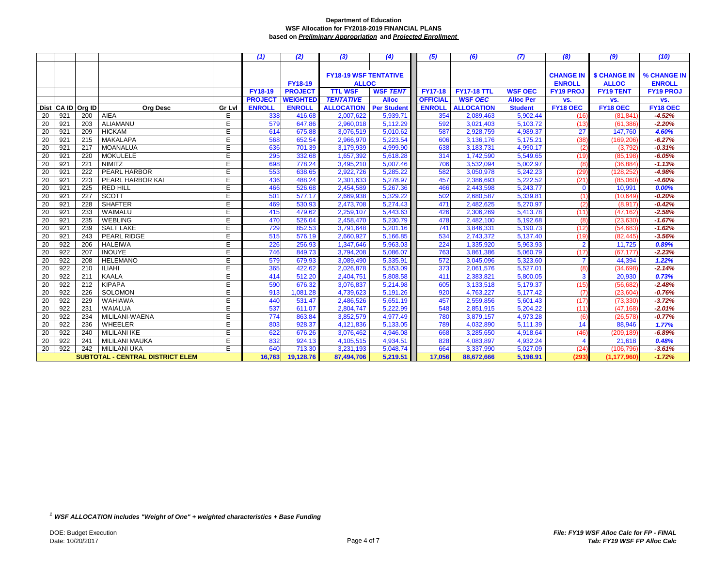|                 |            |                  |                                  |        | (1)            | (2)             | (3)                          | (4)                | (5)             | (6)                | (7)              | (8)              | (9)                 | (10)             |
|-----------------|------------|------------------|----------------------------------|--------|----------------|-----------------|------------------------------|--------------------|-----------------|--------------------|------------------|------------------|---------------------|------------------|
|                 |            |                  |                                  |        |                |                 |                              |                    |                 |                    |                  |                  |                     |                  |
|                 |            |                  |                                  |        |                |                 | <b>FY18-19 WSF TENTATIVE</b> |                    |                 |                    |                  | <b>CHANGE IN</b> | <b>\$ CHANGE IN</b> | % CHANGE IN      |
|                 |            |                  |                                  |        |                | <b>FY18-19</b>  |                              | <b>ALLOC</b>       |                 |                    |                  | <b>ENROLL</b>    | <b>ALLOC</b>        | <b>ENROLL</b>    |
|                 |            |                  |                                  |        | FY18-19        | <b>PROJECT</b>  | <b>TTL WSF</b>               | <b>WSF TENT</b>    | <b>FY17-18</b>  | <b>FY17-18 TTL</b> | <b>WSF OEC</b>   | <b>FY19 PROJ</b> | <b>FY19 TENT</b>    | <b>FY19 PROJ</b> |
|                 |            |                  |                                  |        | <b>PROJECT</b> | <b>WEIGHTED</b> | <b>TENTATIVE</b>             | <b>Alloc</b>       | <b>OFFICIAL</b> | <b>WSF OEC</b>     | <b>Alloc Per</b> | VS.              | VS.                 | VS.              |
|                 | Dist CA ID | Org ID           | <b>Org Desc</b>                  | Gr Lvl | <b>ENROLL</b>  | <b>ENROLL</b>   | <b>ALLOCATION</b>            | <b>Per Student</b> | <b>ENROLL</b>   | <b>ALLOCATION</b>  | <b>Student</b>   | FY18 OEC         | FY18 OEC            | FY18 OEC         |
| 20              | 921        | 200              | AIEA                             | E      | 338            | 416.68          | 2,007,622                    | 5,939.71           | 354             | 2,089,463          | 5,902.44         | (16)             | (81, 841)           | $-4.52%$         |
| 20              | 921        | 203              | <b>ALIAMANU</b>                  | E      | 579            | 647.86          | 2,960,018                    | 5,112.29           | 592             | 3,021,403          | 5,103.72         | (13)             | (61, 386)           | $-2.20%$         |
| 20              | 921        | 209              | <b>HICKAM</b>                    | E      | 614            | 675.88          | 3,076,519                    | 5,010.62           | 587             | 2,928,759          | 4,989.37         | 27               | 147,760             | 4.60%            |
| 20              | 921        | 215              | <b>MAKALAPA</b>                  | E      | 568            | 652.54          | 2,966,970                    | 5,223.54           | 606             | 3,136,176          | 5,175.21         | (38)             | (169,206            | $-6.27%$         |
| 20              | 921        | 217              | <b>MOANALUA</b>                  | E      | 636            | 701.39          | 3,179,939                    | 4,999.90           | 638             | 3,183,731          | 4,990.17         | (2)              | (3,792)             | $-0.31%$         |
| 20              | 921        | 220              | <b>MOKULELE</b>                  | E      | 295            | 332.68          | 1,657,392                    | 5,618.28           | 314             | 1,742,590          | 5,549.65         | (19)             | (85, 198)           | $-6.05%$         |
| $\overline{20}$ | 921        | $\overline{221}$ | <b>NIMITZ</b>                    | E      | 698            | 778.24          | 3,495,210                    | 5,007.46           | 706             | 3,532,094          | 5,002.97         | (8)              | (36, 884)           | $-1.13%$         |
| 20              | 921        | 222              | <b>PEARL HARBOR</b>              | E      | 553            | 638.65          | 2,922,726                    | 5,285.22           | 582             | 3,050,978          | 5,242.23         | (29)             | (128, 252)          | $-4.98%$         |
| 20              | 921        | 223              | PEARL HARBOR KAI                 | E      | 436            | 488.24          | 2,301,633                    | 5,278.97           | 457             | 2,386,693          | 5,222.52         | (21)             | (85,060)            | $-4.60%$         |
| 20              | 921        | 225              | <b>RED HILL</b>                  | E      | 466            | 526.68          | 2,454,589                    | 5,267.36           | 466             | 2,443,598          | 5,243.77         | $\mathbf 0$      | 10,991              | 0.00%            |
| 20              | 921        | 227              | <b>SCOTT</b>                     | E      | 501            | 577.17          | 2,669,938                    | 5,329.22           | 502             | 2,680,587          | 5,339.81         | (1)              | (10, 649)           | $-0.20%$         |
| 20              | 921        | 228              | <b>SHAFTER</b>                   | E      | 469            | 530.93          | 2,473,708                    | 5,274.43           | 471             | 2,482,625          | 5,270.97         | (2)              | (8,917)             | $-0.42%$         |
| 20              | 921        | 233              | WAIMALU                          | E      | 415            | 479.62          | 2,259,107                    | 5,443.63           | 426             | 2,306,269          | 5,413.78         | (11)             | (47, 162)           | $-2.58%$         |
| 20              | 921        | 235              | <b>WEBLING</b>                   | E      | 470            | 526.04          | 2,458,470                    | 5,230.79           | 478             | 2,482,100          | 5,192.68         | (8)              | (23, 630)           | $-1.67%$         |
| 20              | 921        | 239              | <b>SALT LAKE</b>                 | E      | 729            | 852.53          | 3,791,648                    | 5,201.16           | 741             | 3,846,331          | 5,190.73         | (12)             | (54, 683)           | $-1.62%$         |
| 20              | 921        | 243              | PEARL RIDGE                      | E      | 515            | 576.19          | 2,660,927                    | 5,166.85           | 534             | 2,743,372          | 5,137.40         | (19)             | (82, 445)           | $-3.56%$         |
| 20              | 922        | 206              | <b>HALEIWA</b>                   | E      | 226            | 256.93          | 1,347,646                    | 5,963.03           | 224             | 1,335,920          | 5,963.93         | $\overline{2}$   | 11,725              | 0.89%            |
| 20              | 922        | 207              | <b>INOUYE</b>                    | E      | 746            | 849.73          | 3,794,208                    | 5,086.07           | 763             | 3,861,386          | 5,060.79         | (17)             | (67, 177)           | $-2.23%$         |
| 20              | 922        | 208              | <b>HELEMANO</b>                  | E      | 579            | 679.93          | 3,089,490                    | 5,335.91           | 572             | 3,045,096          | 5,323.60         | $\overline{7}$   | 44,394              | 1.22%            |
| 20              | 922        | 210              | <b>ILIAHI</b>                    | E      | 365            | 422.62          | 2,026,878                    | 5,553.09           | 373             | 2,061,576          | 5,527.01         | (8)              | (34, 698)           | $-2.14%$         |
| 20              | 922        | 211              | <b>KAALA</b>                     | E      | 414            | 512.20          | 2,404,751                    | 5,808.58           | 411             | 2,383,821          | 5,800.05         | 3                | 20,930              | 0.73%            |
| 20              | 922        | 212              | <b>KIPAPA</b>                    | E      | 590            | 676.32          | 3,076,837                    | 5,214.98           | 605             | 3,133,518          | 5,179.37         | (15)             | (56, 682)           | $-2.48%$         |
| 20              | 922        | 226              | SOLOMON                          | E      | 913            | 1,081.28        | 4,739,623                    | 5,191.26           | 920             | 4,763,227          | 5,177.42         | (7)              | (23, 604)           | $-0.76%$         |
| 20              | 922        | 229              | <b>WAHIAWA</b>                   | E      | 440            | 531.47          | 2,486,526                    | 5,651.19           | 457             | 2,559,856          | 5,601.43         | (17)             | (73, 330)           | $-3.72%$         |
| 20              | 922        | 231              | <b>WAIALUA</b>                   | E      | 537            | 611.07          | 2,804,747                    | 5,222.99           | 548             | 2,851,915          | 5,204.22         | (11)             | (47, 168)           | $-2.01%$         |
| 20              | 922        | 234              | MILILANI-WAENA                   | E      | 774            | 863.84          | 3,852,579                    | 4,977.49           | 780             | 3,879,157          | 4,973.28         | (6)              | (26, 578)           | $-0.77%$         |
| 20              | 922        | 236              | WHEELER                          | E      | 803            | 928.37          | 4,121,836                    | 5,133.05           | 789             | 4,032,890          | 5,111.39         | 14               | 88,946              | 1.77%            |
| 20              | 922        | 240              | <b>MILILANI IKE</b>              | E      | 622            | 676.26          | 3,076,462                    | 4,946.08           | 668             | 3,285,650          | 4,918.64         | (46)             | (209, 189)          | $-6.89%$         |
| $\overline{20}$ | 922        | 241              | <b>MILILANI MAUKA</b>            | E      | 832            | 924.13          | 4,105,515                    | 4,934.51           | 828             | 4,083,897          | 4,932.24         | Δ                | 21,618              | 0.48%            |
| 20              | 922        | 242              | <b>MILILANI UKA</b>              | E      | 640            | 713.30          | 3,231,193                    | 5,048.74           | 664             | 3,337,990          | 5,027.09         | (24)             | (106, 796)          | $-3.61%$         |
|                 |            |                  | SUBTOTAL - CENTRAL DISTRICT ELEM |        | 16,763         | 19,128.76       | 87,494,706                   | 5,219.51           | 17,056          | 88,672,666         | 5,198.91         | (293             | (1, 177, 960)       | $-1.72%$         |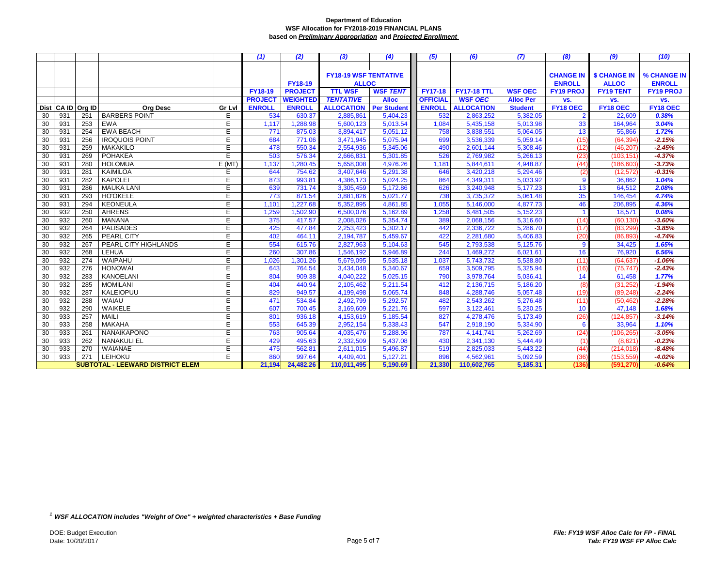|    |            |        |                                         |        | (1)            | (2)             | (3)                          | (4)                | (5)             | (6)                | (7)              | (8)              | (9)                 | (10)             |
|----|------------|--------|-----------------------------------------|--------|----------------|-----------------|------------------------------|--------------------|-----------------|--------------------|------------------|------------------|---------------------|------------------|
|    |            |        |                                         |        |                |                 |                              |                    |                 |                    |                  |                  |                     |                  |
|    |            |        |                                         |        |                |                 | <b>FY18-19 WSF TENTATIVE</b> |                    |                 |                    |                  | <b>CHANGE IN</b> | <b>\$ CHANGE IN</b> | % CHANGE IN      |
|    |            |        |                                         |        |                | <b>FY18-19</b>  | <b>ALLOC</b>                 |                    |                 |                    |                  | <b>ENROLL</b>    | <b>ALLOC</b>        | <b>ENROLL</b>    |
|    |            |        |                                         |        | <b>FY18-19</b> | <b>PROJECT</b>  | <b>TTL WSF</b>               | <b>WSF TENT</b>    | <b>FY17-18</b>  | <b>FY17-18 TTL</b> | <b>WSF OEC</b>   | <b>FY19 PROJ</b> | <b>FY19 TENT</b>    | <b>FY19 PROJ</b> |
|    |            |        |                                         |        | <b>PROJECT</b> | <b>WEIGHTED</b> | <b>TENTATIVE</b>             | <b>Alloc</b>       | <b>OFFICIAL</b> | <b>WSF OEC</b>     | <b>Alloc Per</b> | VS.              | VS.                 | VS.              |
|    | Dist CA ID | Org ID | <b>Org Desc</b>                         | Gr Lvl | <b>ENROLL</b>  | <b>ENROLL</b>   | <b>ALLOCATION</b>            | <b>Per Student</b> | <b>ENROLL</b>   | <b>ALLOCATION</b>  | <b>Student</b>   | FY18 OEC         | FY18 OEC            | FY18 OEC         |
| 30 | 931        | 251    | <b>BARBERS POINT</b>                    | E      | 534            | 630.37          | 2,885,861                    | 5,404.23           | 532             | 2,863,252          | 5,382.05         | $\overline{2}$   | 22,609              | 0.38%            |
| 30 | 931        | 253    | <b>EWA</b>                              | E      | 1,117          | 1,288.98        | 5,600,123                    | 5,013.54           | 1,084           | 5,435,158          | 5,013.98         | 33               | 164,964             | 3.04%            |
| 30 | 931        | 254    | <b>EWA BEACH</b>                        | E      | 771            | 875.03          | 3,894,417                    | 5.051.12           | 758             | 3,838,551          | 5,064.05         | 13               | 55,866              | 1.72%            |
| 30 | 931        | 256    | <b>IROQUOIS POINT</b>                   | E      | 684            | 771.06          | 3,471,945                    | 5,075.94           | 699             | 3,536,339          | 5,059.14         | (15)             | (64, 394)           | $-2.15%$         |
| 30 | 931        | 259    | <b>MAKAKILO</b>                         | E      | 478            | 550.34          | 2,554,936                    | 5,345.06           | 490             | 2,601,144          | 5,308.46         | (12)             | (46, 207)           | $-2.45%$         |
| 30 | 931        | 269    | <b>POHAKEA</b>                          | E      | 503            | 576.34          | 2,666,831                    | 5,301.85           | 526             | 2,769,982          | 5,266.13         | (23)             | (103, 151)          | $-4.37%$         |
| 30 | 931        | 280    | <b>HOLOMUA</b>                          | E(MT)  | 1,137          | 1,280.45        | 5,658,008                    | 4,976.26           | 1,181           | 5,844,611          | 4,948.87         | (44)             | (186, 603)          | $-3.73%$         |
| 30 | 931        | 281    | KAIMILOA                                | E      | 644            | 754.62          | 3,407,646                    | 5,291.38           | 646             | 3,420,218          | 5,294.46         | (2)              | (12, 572)           | $-0.31%$         |
| 30 | 931        | 282    | <b>KAPOLEI</b>                          | E      | 873            | 993.81          | 4,386,173                    | 5,024.25           | 864             | 4,349,311          | 5,033.92         | 9                | 36,862              | 1.04%            |
| 30 | 931        | 286    | <b>MAUKA LANI</b>                       | E      | 639            | 731.74          | 3,305,459                    | 5,172.86           | 626             | 3,240,948          | 5,177.23         | 13               | 64,512              | 2.08%            |
| 30 | 931        | 293    | <b>HO'OKELE</b>                         | E      | 773            | 871.54          | 3,881,826                    | 5,021.77           | 738             | 3,735,372          | 5,061.48         | 35               | 146,454             | 4.74%            |
| 30 | 931        | 294    | <b>KEONEULA</b>                         | E      | 1,101          | 1,227.68        | 5,352,895                    | 4,861.85           | 1,055           | 5,146,000          | 4,877.73         | 46               | 206,895             | 4.36%            |
| 30 | 932        | 250    | <b>AHRENS</b>                           | E      | 1,259          | 1,502.90        | 6,500,076                    | 5,162.89           | 1,258           | 6,481,505          | 5,152.23         |                  | 18,571              | 0.08%            |
| 30 | 932        | 260    | <b>MANANA</b>                           | E      | 375            | 417.57          | 2,008,026                    | 5,354.74           | 389             | 2,068,156          | 5,316.60         | (14)             | (60, 130)           | $-3.60%$         |
| 30 | 932        | 264    | <b>PALISADES</b>                        | E      | 425            | 477.84          | 2,253,423                    | 5,302.17           | 442             | 2,336,722          | 5,286.70         | (17)             | (83, 299)           | $-3.85%$         |
| 30 | 932        | 265    | <b>PEARL CITY</b>                       | E      | 402            | 464.11          | 2,194,787                    | 5,459.67           | 422             | 2,281,680          | 5,406.83         | (20)             | (86, 893)           | $-4.74%$         |
| 30 | 932        | 267    | PEARL CITY HIGHLANDS                    | E      | 554            | 615.76          | 2,827,963                    | 5,104.63           | 545             | 2,793,538          | 5,125.76         | 9                | 34,425              | 1.65%            |
| 30 | 932        | 268    | LEHUA                                   | E      | 260            | 307.86          | 1,546,192                    | 5,946.89           | 244             | 1,469,272          | 6,021.61         | 16               | 76,920              | 6.56%            |
| 30 | 932        | 274    | WAIPAHU                                 | E      | 1,026          | 1,301.26        | 5,679,095                    | 5,535.18           | 1,037           | 5,743,732          | 5,538.80         | (11)             | (64, 637)           | $-1.06%$         |
| 30 | 932        | 276    | <b>HONOWAI</b>                          | E      | 643            | 764.54          | 3,434,048                    | 5,340.67           | 659             | 3,509,795          | 5,325.94         | (16)             | (75, 747)           | $-2.43%$         |
| 30 | 932        | 283    | <b>KANOELANI</b>                        | E      | 804            | 909.38          | 4,040,222                    | 5,025.15           | 790             | 3,978,764          | 5,036.41         | 14               | 61,458              | 1.77%            |
| 30 | 932        | 285    | <b>MOMILANI</b>                         | E      | 404            | 440.94          | 2,105,462                    | 5,211.54           | 412             | 2,136,715          | 5,186.20         | (8)              | (31, 252)           | $-1.94%$         |
| 30 | 932        | 287    | <b>KALEIOPUU</b>                        | E      | 829            | 949.57          | 4,199,498                    | 5,065.74           | 848             | 4,288,746          | 5,057.48         | (19)             | (89, 248)           | $-2.24%$         |
| 30 | 932        | 288    | <b>WAIAU</b>                            | E      | 471            | 534.84          | 2,492,799                    | 5,292.57           | 482             | 2,543,262          | 5,276.48         | (11)             | (50, 462)           | $-2.28%$         |
| 30 | 932        | 290    | WAIKELE                                 | E      | 607            | 700.45          | 3,169,609                    | 5,221.76           | 597             | 3,122,461          | 5,230.25         | 10               | 47,148              | 1.68%            |
| 30 | 933        | 257    | <b>MAILI</b>                            | E      | 801            | 936.18          | 4,153,619                    | 5,185.54           | 827             | 4,278,476          | 5,173.49         | (26)             | (124, 857)          | $-3.14%$         |
| 30 | 933        | 258    | <b>MAKAHA</b>                           | E      | 553            | 645.39          | 2,952,154                    | 5,338.43           | 547             | 2,918,190          | 5,334.90         | 6                | 33,964              | 1.10%            |
| 30 | 933        | 261    | <b>NANAIKAPONO</b>                      | E      | 763            | 905.64          | 4,035,476                    | 5,288.96           | 787             | 4,141,741          | 5.262.69         | (24)             | (106.265            | $-3.05%$         |
| 30 | 933        | 262    | <b>NANAKULI EL</b>                      | E      | 429            | 495.63          | 2,332,509                    | 5,437.08           | 430             | 2,341,130          | 5,444.49         | $\mathfrak{a}$   | (8,621)             | $-0.23%$         |
| 30 | 933        | 270    | WAIANAE                                 | E      | 475            | 562.81          | 2,611,015                    | 5,496.87           | 519             | 2,825,033          | 5,443.22         | (44)             | (214, 018)          | $-8.48%$         |
| 30 | 933        | 271    | LEIHOKU                                 | E      | 860            | 997.64          | 4,409,401                    | 5,127.21           | 896             | 4,562,961          | 5,092.59         | (36)             | (153, 559)          | $-4.02%$         |
|    |            |        | <b>SUBTOTAL - LEEWARD DISTRICT ELEM</b> |        | 21,194         | 24,482.26       | 110,011,495                  | 5,190.69           | 21,330          | 110,602,765        | 5,185.31         | (136             | (591,270            | $-0.64%$         |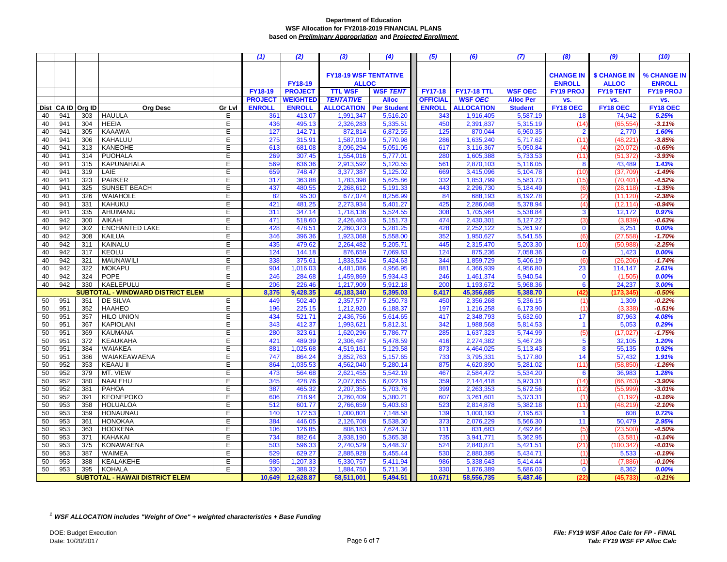|            |     |        |                                        |        | (1)            | (2)             | (3)                          | (4)                | (5)             | (6)                | (7)              | (8)              | (9)                 | (10)             |
|------------|-----|--------|----------------------------------------|--------|----------------|-----------------|------------------------------|--------------------|-----------------|--------------------|------------------|------------------|---------------------|------------------|
|            |     |        |                                        |        |                |                 |                              |                    |                 |                    |                  |                  |                     |                  |
|            |     |        |                                        |        |                |                 | <b>FY18-19 WSF TENTATIVE</b> |                    |                 |                    |                  | <b>CHANGE IN</b> | <b>\$ CHANGE IN</b> | % CHANGE IN      |
|            |     |        |                                        |        |                | FY18-19         | <b>ALLOC</b>                 |                    |                 |                    |                  | <b>ENROLL</b>    | <b>ALLOC</b>        | <b>ENROLL</b>    |
|            |     |        |                                        |        | <b>FY18-19</b> | <b>PROJECT</b>  | <b>TTL WSF</b>               | <b>WSF TENT</b>    | <b>FY17-18</b>  | <b>FY17-18 TTL</b> | <b>WSF OEC</b>   | <b>FY19 PROJ</b> | <b>FY19 TENT</b>    | <b>FY19 PROJ</b> |
|            |     |        |                                        |        | <b>PROJECT</b> | <b>WEIGHTED</b> | <b>TENTATIVE</b>             | <b>Alloc</b>       | <b>OFFICIAL</b> | <b>WSF OEC</b>     | <b>Alloc Per</b> | VS.              | VS.                 | VS.              |
| Dist CA ID |     | Org ID | <b>Org Desc</b>                        | Gr Lvl | <b>ENROLL</b>  | <b>ENROLL</b>   | <b>ALLOCATION</b>            | <b>Per Student</b> | <b>ENROLL</b>   | <b>ALLOCATION</b>  | <b>Student</b>   | FY18 OEC         | FY18 OEC            | FY18 OEC         |
| 40         | 941 | 303    | <b>HAUULA</b>                          | Ε      | 361            | 413.07          | 1,991,347                    | 5,516.20           | 343             | 1,916,405          | 5,587.19         | 18               | 74,942              | 5.25%            |
| 40         | 941 | 304    | <b>HEEIA</b>                           | E      | 436            | 495.13          | 2,326,283                    | 5,335.51           | 450             | 2,391,837          | 5,315.19         | (14)             | (65, 554)           | $-3.11%$         |
| 40         | 941 | 305    | <b>KAAAWA</b>                          | E      | 127            | 142.71          | 872,814                      | 6,872.55           | 125             | 870,044            | 6,960.35         |                  | 2,770               | 1.60%            |
| 40         | 941 | 306    | KAHALUU                                | E      | 275            | 315.91          | 1,587,019                    | 5,770.98           | 286             | 1,635,240          | 5,717.62         | (11)             | (48, 22)            | $-3.85%$         |
| 40         | 941 | 313    | <b>KANEOHE</b>                         | E      | 613            | 681.08          | 3,096,294                    | 5,051.05           | 617             | 3,116,367          | 5,050.84         | (4)              | (20.072)            | $-0.65%$         |
| 40         | 941 | 314    | <b>PUOHALA</b>                         | E      | 269            | 307.45          | 1,554,016                    | 5,777.01           | 280             | 1,605,388          | 5,733.53         | (11)             | (51, 372)           | $-3.93%$         |
| 40         | 941 | 315    | <b>KAPUNAHALA</b>                      | Ē      | 569            | 636.36          | 2,913,592                    | 5,120.55           | 561             | 2,870,103          | 5,116.05         | 8                | 43,489              | 1.43%            |
| 40         | 941 | 319    | LAIE                                   | E      | 659            | 748.47          | 3,377,387                    | 5,125.02           | <b>669</b>      | 3,415,096          | 5,104.78         | (10)             | (37,709)            | $-1.49%$         |
| 40         | 941 | 323    | <b>PARKER</b>                          | E      | 317            | 363.88          | 1,783,398                    | 5,625.86           | 332             | 1,853,799          | 5,583.73         | (15              | (70, 401)           | $-4.52%$         |
| 40         | 941 | 325    | <b>SUNSET BEACH</b>                    | E      | 437            | 480.55          | 2,268,612                    | 5,191.33           | 443             | 2,296,730          | 5,184.49         | (6               | (28, 118)           | $-1.35%$         |
| 40         | 941 | 326    | <b>WAIAHOLE</b>                        | E      | 82             | 95.30           | 677,074                      | 8,256.99           | 84              | 688,193            | 8,192.78         | (2)              | (11, 120)           | $-2.38%$         |
| 40         | 941 | 331    | KAHUKU                                 | E      | 421            | 481.25          | 2,273,934                    | 5,401.27           | 425             | 2,286,048          | 5,378.94         | (4)              | (12, 114)           | $-0.94%$         |
| 40         | 941 | 335    | AHUIMANU                               | E      | 311            | 347.14          | 1,718,136                    | 5,524.55           | 308             | 1,705,964          | 5,538.84         | 3                | 12,172              | 0.97%            |
| 40         | 942 | 300    | AIKAHI                                 | E      | 471            | 518.60          | 2,426,463                    | 5,151.73           | 474             | 2,430,301          | 5,127.22         | 13               | (3,839)             | $-0.63%$         |
| 40         | 942 | 302    | <b>ENCHANTED LAKE</b>                  | E      | 428            | 478.51          | 2,260,373                    | 5,281.25           | 428             | 2,252,122          | 5,261.97         | $\mathbf 0$      | 8,251               | 0.00%            |
| 40         | 942 | 308    | <b>KAILUA</b>                          | E      | 346            | 396.36          | 1,923,068                    | 5,558.00           | 352             | 1,950,627          | 5,541.55         | (6)              | (27, 558)           | $-1.70%$         |
| 40         | 942 | 311    | <b>KAINALU</b>                         | E      | 435            | 479.62          | 2,264,482                    | 5,205.71           | 445             | 2,315,470          | 5,203.30         | (10)             | (50, 988)           | $-2.25%$         |
| 40         | 942 | 317    | <b>KEOLU</b>                           | E.     | 124            | 144.18          | 876,659                      | 7,069.83           | 124             | 875,236            | 7,058.36         | $\mathbf{0}$     | 1,423               | 0.00%            |
| 40         | 942 | 321    | <b>MAUNAWILI</b>                       | E.     | 338            | 375.61          | 1,833,524                    | 5,424.63           | 344             | 1,859,729          | 5,406.19         | (6)              | (26, 206)           | $-1.74%$         |
| 40         | 942 | 322    | <b>MOKAPU</b>                          | E      | 904            | 1,016.03        | 4,481,086                    | 4,956.95           | 881             | 4,366,939          | 4,956.80         | 23               | 114,147             | 2.61%            |
| 40         | 942 | 324    | POPE                                   | Е      | 246            | 284.68          | 1,459,869                    | 5,934.43           | 246             | 1,461,374          | 5,940.54         | $\mathbf 0$      | (1,505)             | 0.00%            |
| 40         | 942 | 330    | KAELEPULU                              | E      | 206            | 226.46          | 1,217,909                    | 5,912.18           | 200             | 1,193,672          | 5,968.36         | 6                | 24,237              | 3.00%            |
|            |     |        | SUBTOTAL - WINDWARD DISTRICT ELEM      |        | 8,375          | 9,428.35        | 45,183,340                   | 5,395.03           | 8,417           | 45,356,685         | 5,388.70         | (42              | 173,34              | $-0.50%$         |
| 50         | 951 | 351    | DE SILVA                               | Е      | 449            | 502.40          | 2,357,577                    | 5,250.73           | 450             | 2,356,268          | 5,236.15         | (1)              | 1,309               | $-0.22%$         |
| 50         | 951 | 352    | <b>HAAHEO</b>                          | E      | 196            | 225.15          | 1,212,920                    | 6,188.37           | 197             | 1,216,258          | 6,173.90         | (1)              | (3,338)             | $-0.51%$         |
| 50         | 951 | 357    | <b>HILO UNION</b>                      | E      | 434            | 521.71          | 2,436,756                    | 5,614.65           | 417             | 2,348,793          | 5,632.60         | 17               | 87,963              | 4.08%            |
| 50         | 951 | 367    | <b>KAPIOLANI</b>                       | E      | 343            | 412.37          | 1,993,621                    | 5,812.31           | 342             | 1,988,568          | 5,814.53         | $\overline{1}$   | 5,053               | 0.29%            |
| 50         | 951 | 369    | <b>KAUMANA</b>                         | E.     | 280            | 323.61          | 1,620,296                    | 5,786.77           | 285             | 1,637,323          | 5,744.99         | (5)              | (17, 027)           | $-1.75%$         |
| 50         | 951 | 372    | <b>KEAUKAHA</b>                        | E      | 421            | 489.39          | 2,306,487                    | 5,478.59           | 416             | 2,274,382          | 5,467.26         | 5                | 32,105              | 1.20%            |
| 50         | 951 | 384    | WAIAKEA                                | E      | 881            | 1,025.68        | 4,519,161                    | 5,129.58           | 873             | 4,464,025          | 5,113.43         | 8                | 55,135              | 0.92%            |
| 50         | 951 | 386    | WAIAKEAWAENA                           | E      | 747            | 864.24          | 3,852,763                    | 5,157.65           | 733             | 3,795,331          | 5,177.80         | 14               | 57,432              | 1.91%            |
| 50         | 952 | 353    | <b>KEAAU II</b>                        | E      | 864            | 1,035.53        | 4,562,040                    | 5,280.14           | 875             | 4,620,890          | 5,281.02         | (11)             | (58, 850)           | $-1.26%$         |
| 50         | 952 | 379    | MT. VIEW                               | E.     | 473            | 564.68          | 2,621,455                    | 5,542.19           | 467             | 2,584,472          | 5,534.20         | 6                | 36,983              | 1.28%            |
| 50         | 952 | 380    | NAALEHU                                | E      | 345            | 428.76          | 2,077,655                    | 6,022.19           | 359             | 2,144,418          | 5,973.31         | (14)             | (66, 763)           | $-3.90%$         |
| 50         | 952 | 381    | PAHOA                                  | E      | 387            | 465.32          | 2,207,355                    | 5,703.76           | 399             | 2,263,353          | 5,672.56         | (12)             | (55, 999)           | $-3.01%$         |
| 50         | 952 | 391    | <b>KEONEPOKO</b>                       | E      | 606            | 718.94          | 3,260,409                    | 5,380.21           | 607             | 3,261,601          | 5,373.31         | (1)              | (1.192)             | $-0.16%$         |
| 50         | 953 | 358    | <b>HOLUALOA</b>                        | E      | 512            | 601.77          | 2,766,659                    | 5,403.63           | 523             | 2,814,878          | 5,382.18         | (11)             | (48, 219)           | $-2.10%$         |
| 50         | 953 | 359    | <b>HONAUNAU</b>                        | E      | 140            | 172.53          | 1,000,801                    | 7,148.58           | 139             | 1,000,193          | 7,195.63         | $\overline{1}$   | 608                 | 0.72%            |
| 50         | 953 | 361    | <b>HONOKAA</b>                         | E      | 384            | 446.05          | 2,126,708                    | 5,538.30           | 373             | 2,076,229          | 5,566.30         | 11               | 50,479              | 2.95%            |
| 50         | 953 | 363    | <b>HOOKENA</b>                         | E      | 106            | 126.85          | 808,183                      | 7,624.37           | 111             | 831,683            | 7,492.64         | (5)              | (23, 500)           | $-4.50%$         |
| 50         | 953 | 371    | KAHAKAI                                | E      | 734            | 882.64          | 3,938,190                    | 5,365.38           | 735             | 3,941,771          | 5,362.95         | (1)              | (3,58)              | $-0.14%$         |
| 50         | 953 | 375    | <b>KONAWAENA</b>                       | E      | 503            | 596.33          | 2,740,529                    | 5,448.37           | 524             | 2,840,871          | 5,421.51         | (21)             | (100, 342)          | $-4.01%$         |
| 50         | 953 | 387    | <b>WAIMEA</b>                          | Ε      | 529            | 629.27          | 2,885,928                    | 5,455.44           | 530             | 2,880,395          | 5,434.71         | (1)              | 5,533               | $-0.19%$         |
| 50         | 953 | 388    | KEALAKEHE                              | E      | 985            | 1,207.33        | 5,330,757                    | 5,411.94           | 986             | 5,338,643          | 5,414.44         | (1)              | (7,886)             | $-0.10%$         |
| 50         | 953 | 395    | <b>KOHALA</b>                          | E      | 330            | 388.32          | 1,884,750                    | 5,711.36           | 330             | 1,876,389          | 5,686.03         | $\mathbf{0}$     | 8,362               | 0.00%            |
|            |     |        | <b>SUBTOTAL - HAWAII DISTRICT ELEM</b> |        | 10,649         | 12,628.87       | 58,511,001                   | 5,494.51           | 10,671          | 58,556,735         | 5,487.46         | 122              | (45, 73)            | $-0.21%$         |